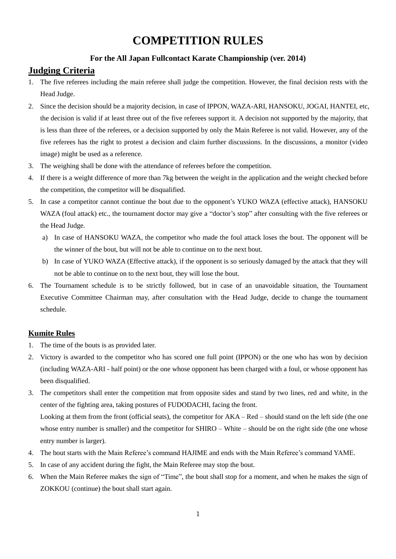# **COMPETITION RULES**

# **For the All Japan Fullcontact Karate Championship (ver. 2014)**

# **Judging Criteria**

- 1. The five referees including the main referee shall judge the competition. However, the final decision rests with the Head Judge.
- 2. Since the decision should be a majority decision, in case of IPPON, WAZA-ARI, HANSOKU, JOGAI, HANTEI, etc, the decision is valid if at least three out of the five referees support it. A decision not supported by the majority, that is less than three of the referees, or a decision supported by only the Main Referee is not valid. However, any of the five referees has the right to protest a decision and claim further discussions. In the discussions, a monitor (video image) might be used as a reference.
- 3. The weighing shall be done with the attendance of referees before the competition.
- 4. If there is a weight difference of more than 7kg between the weight in the application and the weight checked before the competition, the competitor will be disqualified.
- 5. In case a competitor cannot continue the bout due to the opponent's YUKO WAZA (effective attack), HANSOKU WAZA (foul attack) etc., the tournament doctor may give a "doctor's stop" after consulting with the five referees or the Head Judge.
	- a) In case of HANSOKU WAZA, the competitor who made the foul attack loses the bout. The opponent will be the winner of the bout, but will not be able to continue on to the next bout.
	- b) In case of YUKO WAZA (Effective attack), if the opponent is so seriously damaged by the attack that they will not be able to continue on to the next bout, they will lose the bout.
- 6. The Tournament schedule is to be strictly followed, but in case of an unavoidable situation, the Tournament Executive Committee Chairman may, after consultation with the Head Judge, decide to change the tournament schedule.

# **Kumite Rules**

- 1. The time of the bouts is as provided later.
- 2. Victory is awarded to the competitor who has scored one full point (IPPON) or the one who has won by decision (including WAZA-ARI - half point) or the one whose opponent has been charged with a foul, or whose opponent has been disqualified.
- 3. The competitors shall enter the competition mat from opposite sides and stand by two lines, red and white, in the center of the fighting area, taking postures of FUDODACHI, facing the front. Looking at them from the front (official seats), the competitor for AKA – Red – should stand on the left side (the one whose entry number is smaller) and the competitor for SHIRO – White – should be on the right side (the one whose entry number is larger).
- 4. The bout starts with the Main Referee's command HAJIME and ends with the Main Referee's command YAME.
- 5. In case of any accident during the fight, the Main Referee may stop the bout.
- 6. When the Main Referee makes the sign of "Time", the bout shall stop for a moment, and when he makes the sign of ZOKKOU (continue) the bout shall start again.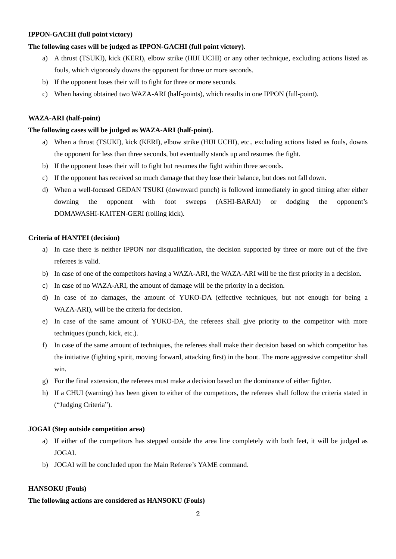# **IPPON-GACHI (full point victory)**

## **The following cases will be judged as IPPON-GACHI (full point victory).**

- a) A thrust (TSUKI), kick (KERI), elbow strike (HIJI UCHI) or any other technique, excluding actions listed as fouls, which vigorously downs the opponent for three or more seconds.
- b) If the opponent loses their will to fight for three or more seconds.
- c) When having obtained two WAZA-ARI (half-points), which results in one IPPON (full-point).

## **WAZA-ARI (half-point)**

#### **The following cases will be judged as WAZA-ARI (half-point).**

- a) When a thrust (TSUKI), kick (KERI), elbow strike (HIJI UCHI), etc., excluding actions listed as fouls, downs the opponent for less than three seconds, but eventually stands up and resumes the fight.
- b) If the opponent loses their will to fight but resumes the fight within three seconds.
- c) If the opponent has received so much damage that they lose their balance, but does not fall down.
- d) When a well-focused GEDAN TSUKI (downward punch) is followed immediately in good timing after either downing the opponent with foot sweeps (ASHI-BARAI) or dodging the opponent's DOMAWASHI-KAITEN-GERI (rolling kick).

## **Criteria of HANTEI (decision)**

- a) In case there is neither IPPON nor disqualification, the decision supported by three or more out of the five referees is valid.
- b) In case of one of the competitors having a WAZA-ARI, the WAZA-ARI will be the first priority in a decision.
- c) In case of no WAZA-ARI, the amount of damage will be the priority in a decision.
- d) In case of no damages, the amount of YUKO-DA (effective techniques, but not enough for being a WAZA-ARI), will be the criteria for decision.
- e) In case of the same amount of YUKO-DA, the referees shall give priority to the competitor with more techniques (punch, kick, etc.).
- f) In case of the same amount of techniques, the referees shall make their decision based on which competitor has the initiative (fighting spirit, moving forward, attacking first) in the bout. The more aggressive competitor shall win.
- g) For the final extension, the referees must make a decision based on the dominance of either fighter.
- h) If a CHUI (warning) has been given to either of the competitors, the referees shall follow the criteria stated in ("Judging Criteria").

#### **JOGAI (Step outside competition area)**

- a) If either of the competitors has stepped outside the area line completely with both feet, it will be judged as JOGAI.
- b) JOGAI will be concluded upon the Main Referee's YAME command.

#### **HANSOKU (Fouls)**

#### **The following actions are considered as HANSOKU (Fouls)**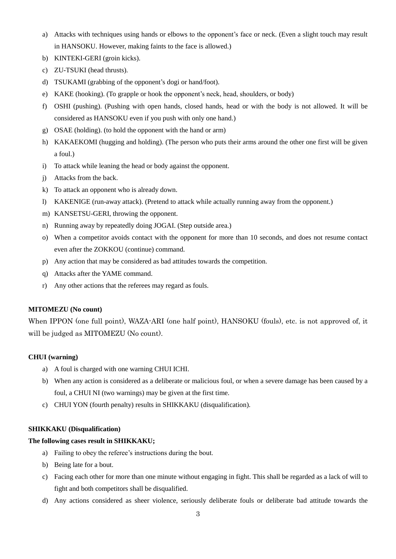- a) Attacks with techniques using hands or elbows to the opponent's face or neck. (Even a slight touch may result in HANSOKU. However, making faints to the face is allowed.)
- b) KINTEKI-GERI (groin kicks).
- c) ZU-TSUKI (head thrusts).
- d) TSUKAMI (grabbing of the opponent's dogi or hand/foot).
- e) KAKE (hooking). (To grapple or hook the opponent's neck, head, shoulders, or body)
- f) OSHI (pushing). (Pushing with open hands, closed hands, head or with the body is not allowed. It will be considered as HANSOKU even if you push with only one hand.)
- g) OSAE (holding). (to hold the opponent with the hand or arm)
- h) KAKAEKOMI (hugging and holding). (The person who puts their arms around the other one first will be given a foul.)
- i) To attack while leaning the head or body against the opponent.
- j) Attacks from the back.
- k) To attack an opponent who is already down.
- l) KAKENIGE (run-away attack). (Pretend to attack while actually running away from the opponent.)
- m) KANSETSU-GERI, throwing the opponent.
- n) Running away by repeatedly doing JOGAI. (Step outside area.)
- o) When a competitor avoids contact with the opponent for more than 10 seconds, and does not resume contact even after the ZOKKOU (continue) command.
- p) Any action that may be considered as bad attitudes towards the competition.
- q) Attacks after the YAME command.
- r) Any other actions that the referees may regard as fouls.

#### **MITOMEZU (No count)**

When IPPON (one full point), WAZA-ARI (one half point), HANSOKU (fouls), etc. is not approved of, it will be judged as MITOMEZU (No count).

# **CHUI (warning)**

- a) A foul is charged with one warning CHUI ICHI.
- b) When any action is considered as a deliberate or malicious foul, or when a severe damage has been caused by a foul, a CHUI NI (two warnings) may be given at the first time.
- c) CHUI YON (fourth penalty) results in SHIKKAKU (disqualification).

## **SHIKKAKU (Disqualification)**

## **The following cases result in SHIKKAKU;**

- a) Failing to obey the referee's instructions during the bout.
- b) Being late for a bout.
- c) Facing each other for more than one minute without engaging in fight. This shall be regarded as a lack of will to fight and both competitors shall be disqualified.
- d) Any actions considered as sheer violence, seriously deliberate fouls or deliberate bad attitude towards the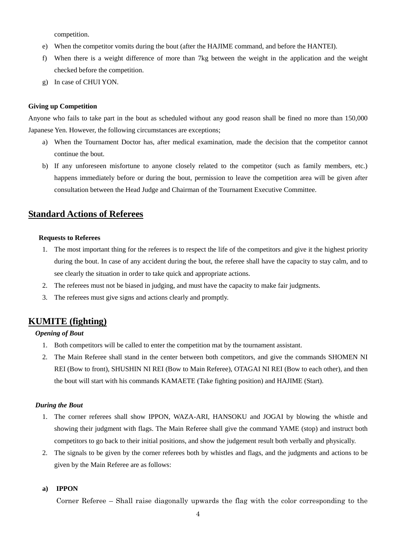competition.

- e) When the competitor vomits during the bout (after the HAJIME command, and before the HANTEI).
- f) When there is a weight difference of more than 7kg between the weight in the application and the weight checked before the competition.
- g) In case of CHUI YON.

#### **Giving up Competition**

Anyone who fails to take part in the bout as scheduled without any good reason shall be fined no more than 150,000 Japanese Yen. However, the following circumstances are exceptions;

- a) When the Tournament Doctor has, after medical examination, made the decision that the competitor cannot continue the bout.
- b) If any unforeseen misfortune to anyone closely related to the competitor (such as family members, etc.) happens immediately before or during the bout, permission to leave the competition area will be given after consultation between the Head Judge and Chairman of the Tournament Executive Committee.

# **Standard Actions of Referees**

#### **Requests to Referees**

- 1. The most important thing for the referees is to respect the life of the competitors and give it the highest priority during the bout. In case of any accident during the bout, the referee shall have the capacity to stay calm, and to see clearly the situation in order to take quick and appropriate actions.
- 2. The referees must not be biased in judging, and must have the capacity to make fair judgments.
- 3. The referees must give signs and actions clearly and promptly.

# **KUMITE (fighting)**

#### *Opening of Bout*

- 1. Both competitors will be called to enter the competition mat by the tournament assistant.
- 2. The Main Referee shall stand in the center between both competitors, and give the commands SHOMEN NI REI (Bow to front), SHUSHIN NI REI (Bow to Main Referee), OTAGAI NI REI (Bow to each other), and then the bout will start with his commands KAMAETE (Take fighting position) and HAJIME (Start).

#### *During the Bout*

- 1. The corner referees shall show IPPON, WAZA-ARI, HANSOKU and JOGAI by blowing the whistle and showing their judgment with flags. The Main Referee shall give the command YAME (stop) and instruct both competitors to go back to their initial positions, and show the judgement result both verbally and physically.
- 2. The signals to be given by the corner referees both by whistles and flags, and the judgments and actions to be given by the Main Referee are as follows:

#### **a) IPPON**

Corner Referee – Shall raise diagonally upwards the flag with the color corresponding to the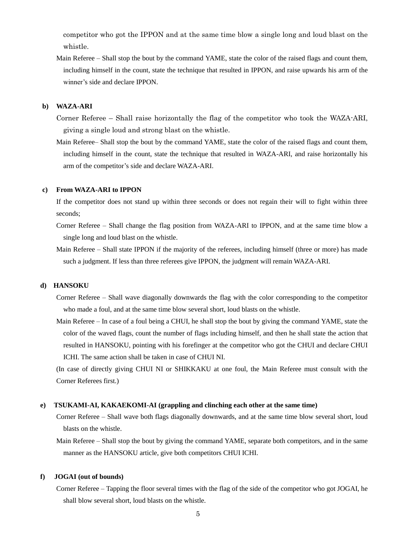competitor who got the IPPON and at the same time blow a single long and loud blast on the whistle.

Main Referee – Shall stop the bout by the command YAME, state the color of the raised flags and count them, including himself in the count, state the technique that resulted in IPPON, and raise upwards his arm of the winner's side and declare IPPON.

#### **b) WAZA-ARI**

- Corner Referee Shall raise horizontally the flag of the competitor who took the WAZA-ARI, giving a single loud and strong blast on the whistle.
- Main Referee– Shall stop the bout by the command YAME, state the color of the raised flags and count them, including himself in the count, state the technique that resulted in WAZA-ARI, and raise horizontally his arm of the competitor's side and declare WAZA-ARI.

#### **c) From WAZA-ARI to IPPON**

If the competitor does not stand up within three seconds or does not regain their will to fight within three seconds;

- Corner Referee Shall change the flag position from WAZA-ARI to IPPON, and at the same time blow a single long and loud blast on the whistle.
- Main Referee Shall state IPPON if the majority of the referees, including himself (three or more) has made such a judgment. If less than three referees give IPPON, the judgment will remain WAZA-ARI.

#### **d) HANSOKU**

- Corner Referee Shall wave diagonally downwards the flag with the color corresponding to the competitor who made a foul, and at the same time blow several short, loud blasts on the whistle.
- Main Referee In case of a foul being a CHUI, he shall stop the bout by giving the command YAME, state the color of the waved flags, count the number of flags including himself, and then he shall state the action that resulted in HANSOKU, pointing with his forefinger at the competitor who got the CHUI and declare CHUI ICHI. The same action shall be taken in case of CHUI NI.

(In case of directly giving CHUI NI or SHIKKAKU at one foul, the Main Referee must consult with the Corner Referees first.)

#### **e) TSUKAMI-AI, KAKAEKOMI-AI (grappling and clinching each other at the same time)**

Corner Referee – Shall wave both flags diagonally downwards, and at the same time blow several short, loud blasts on the whistle.

Main Referee – Shall stop the bout by giving the command YAME, separate both competitors, and in the same manner as the HANSOKU article, give both competitors CHUI ICHI.

#### **f) JOGAI (out of bounds)**

Corner Referee – Tapping the floor several times with the flag of the side of the competitor who got JOGAI, he shall blow several short, loud blasts on the whistle.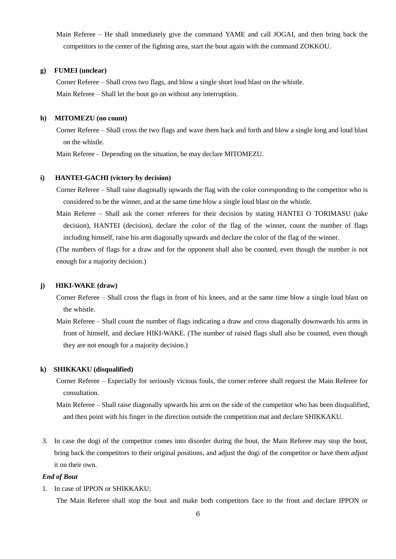Main Referee – He shall immediately give the command YAME and call JOGAI, and then bring back the competitors to the center of the fighting area, start the bout again with the command ZOKKOU.

#### **g) FUMEI (unclear)**

Corner Referee – Shall cross two flags, and blow a single short loud blast on the whistle. Main Referee – Shall let the bout go on without any interruption.

#### **h) MITOMEZU (no count)**

Corner Referee – Shall cross the two flags and wave them back and forth and blow a single long and loud blast on the whistle.

Main Referee – Depending on the situation, he may declare MITOMEZU.

#### **i) HANTEI-GACHI (victory by decision)**

Corner Referee – Shall raise diagonally upwards the flag with the color corresponding to the competitor who is considered to be the winner, and at the same time blow a single loud blast on the whistle.

Main Referee – Shall ask the corner referees for their decision by stating HANTEI O TORIMASU (take decision), HANTEI (decision), declare the color of the flag of the winner, count the number of flags including himself, raise his arm diagonally upwards and declare the color of the flag of the winner.

(The numbers of flags for a draw and for the opponent shall also be counted, even though the number is not enough for a majority decision.)

#### **j) HIKI-WAKE (draw)**

Corner Referee – Shall cross the flags in front of his knees, and at the same time blow a single loud blast on the whistle.

Main Referee – Shall count the number of flags indicating a draw and cross diagonally downwards his arms in front of himself, and declare HIKI-WAKE. (The number of raised flags shall also be counted, even though they are not enough for a majority decision.)

#### **k) SHIKKAKU (disqualified)**

Corner Referee – Especially for seriously vicious fouls, the corner referee shall request the Main Referee for consultation.

Main Referee – Shall raise diagonally upwards his arm on the side of the competitor who has been disqualified, and then point with his finger in the direction outside the competition mat and declare SHIKKAKU.

3. In case the dogi of the competitor comes into disorder during the bout, the Main Referee may stop the bout, bring back the competitors to their original positions, and adjust the dogi of the competitor or have them adjust it on their own.

#### *End of Bout*

1. In case of IPPON or SHIKKAKU;

The Main Referee shall stop the bout and make both competitors face to the front and declare IPPON or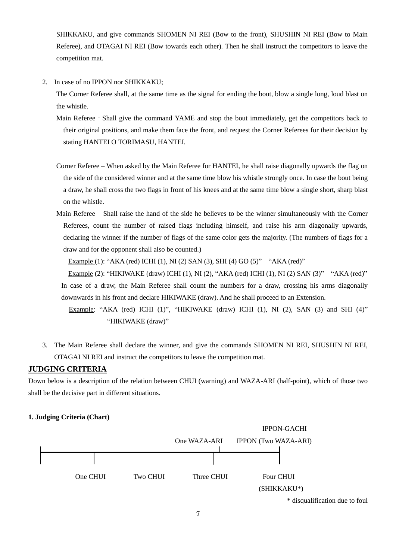SHIKKAKU, and give commands SHOMEN NI REI (Bow to the front), SHUSHIN NI REI (Bow to Main Referee), and OTAGAI NI REI (Bow towards each other). Then he shall instruct the competitors to leave the competition mat.

2. In case of no IPPON nor SHIKKAKU;

The Corner Referee shall, at the same time as the signal for ending the bout, blow a single long, loud blast on the whistle.

- Main Referee Shall give the command YAME and stop the bout immediately, get the competitors back to their original positions, and make them face the front, and request the Corner Referees for their decision by stating HANTEI O TORIMASU, HANTEI.
- Corner Referee When asked by the Main Referee for HANTEI, he shall raise diagonally upwards the flag on the side of the considered winner and at the same time blow his whistle strongly once. In case the bout being a draw, he shall cross the two flags in front of his knees and at the same time blow a single short, sharp blast on the whistle.
- Main Referee Shall raise the hand of the side he believes to be the winner simultaneously with the Corner Referees, count the number of raised flags including himself, and raise his arm diagonally upwards, declaring the winner if the number of flags of the same color gets the majority. (The numbers of flags for a draw and for the opponent shall also be counted.)

Example (1): "AKA (red) ICHI (1), NI (2) SAN (3), SHI (4) GO (5)" "AKA (red)"

 Example (2): "HIKIWAKE (draw) ICHI (1), NI (2), "AKA (red) ICHI (1), NI (2) SAN (3)" "AKA (red)" In case of a draw, the Main Referee shall count the numbers for a draw, crossing his arms diagonally downwards in his front and declare HIKIWAKE (draw). And he shall proceed to an Extension.

Example: "AKA (red) ICHI (1)", "HIKIWAKE (draw) ICHI (1), NI (2), SAN (3) and SHI (4)" "HIKIWAKE (draw)"

3. The Main Referee shall declare the winner, and give the commands SHOMEN NI REI, SHUSHIN NI REI, OTAGAI NI REI and instruct the competitors to leave the competition mat.

# **JUDGING CRITERIA**

Down below is a description of the relation between CHUI (warning) and WAZA-ARI (half-point), which of those two shall be the decisive part in different situations.

#### **1. Judging Criteria (Chart)**



\* disqualification due to foul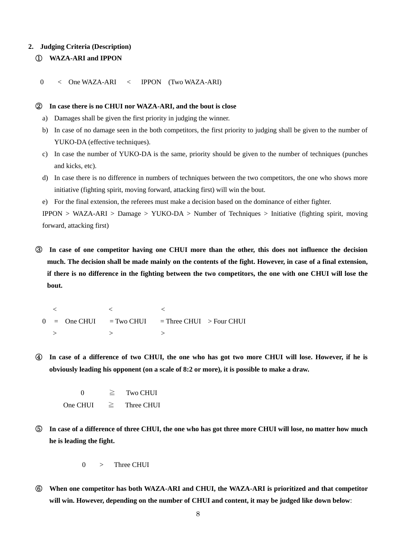#### **2. Judging Criteria (Description)**

# ① **WAZA-ARI and IPPON**

0 < One WAZA-ARI < IPPON (Two WAZA-ARI)

#### ② **In case there is no CHUI nor WAZA-ARI, and the bout is close**

- a) Damages shall be given the first priority in judging the winner.
- b) In case of no damage seen in the both competitors, the first priority to judging shall be given to the number of YUKO-DA (effective techniques).
- c) In case the number of YUKO-DA is the same, priority should be given to the number of techniques (punches and kicks, etc).
- d) In case there is no difference in numbers of techniques between the two competitors, the one who shows more initiative (fighting spirit, moving forward, attacking first) will win the bout.
- e) For the final extension, the referees must make a decision based on the dominance of either fighter.

IPPON > WAZA-ARI > Damage > YUKO-DA > Number of Techniques > Initiative (fighting spirit, moving forward, attacking first)

③ **In case of one competitor having one CHUI more than the other, this does not influence the decision much. The decision shall be made mainly on the contents of the fight. However, in case of a final extension, if there is no difference in the fighting between the two competitors, the one with one CHUI will lose the bout.**

 $\langle \hspace{.1cm} \langle \hspace{.1cm} \rangle \hspace{.1cm} \rangle$  , where  $\langle \hspace{.1cm} \rangle$  $0 = \text{One CHUI} = \text{Two CHUI} = \text{Three CHUI} > \text{Four CHUI}$  $>$   $>$   $>$   $>$   $>$   $>$ 

④ **In case of a difference of two CHUI, the one who has got two more CHUI will lose. However, if he is obviously leading his opponent (on a scale of 8:2 or more), it is possible to make a draw.**

0  $\geq$  Two CHUI One CHUI  $\geq$  Three CHUI

⑤ **In case of a difference of three CHUI, the one who has got three more CHUI will lose, no matter how much he is leading the fight.**

 $0 \rightarrow$  Three CHUI

⑥ **When one competitor has both WAZA-ARI and CHUI, the WAZA-ARI is prioritized and that competitor will win. However, depending on the number of CHUI and content, it may be judged like down below**: